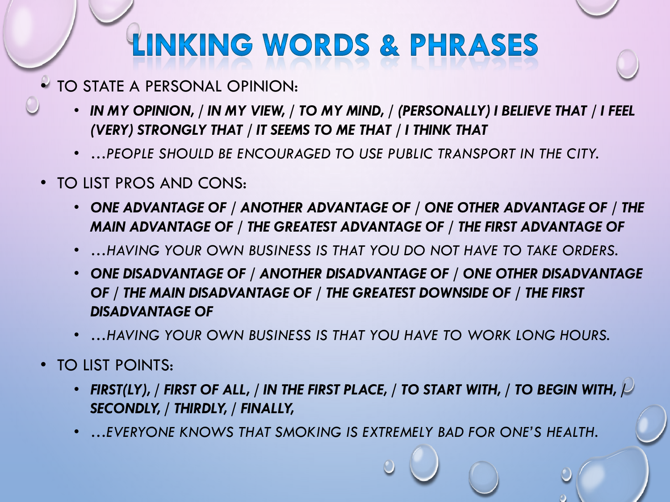## **LINKING WORDS & PHRASES**

- TO STATE A PERSONAL OPINION:
	- *IN MY OPINION, / IN MY VIEW, / TO MY MIND, / (PERSONALLY) I BELIEVE THAT / I FEEL (VERY) STRONGLY THAT / IT SEEMS TO ME THAT / I THINK THAT*
	- *…PEOPLE SHOULD BE ENCOURAGED TO USE PUBLIC TRANSPORT IN THE CITY.*
- TO LIST PROS AND CONS:
	- *ONE ADVANTAGE OF / ANOTHER ADVANTAGE OF / ONE OTHER ADVANTAGE OF / THE MAIN ADVANTAGE OF / THE GREATEST ADVANTAGE OF / THE FIRST ADVANTAGE OF*
	- *…HAVING YOUR OWN BUSINESS IS THAT YOU DO NOT HAVE TO TAKE ORDERS.*
	- *ONE DISADVANTAGE OF / ANOTHER DISADVANTAGE OF / ONE OTHER DISADVANTAGE OF / THE MAIN DISADVANTAGE OF / THE GREATEST DOWNSIDE OF / THE FIRST DISADVANTAGE OF*
	- *…HAVING YOUR OWN BUSINESS IS THAT YOU HAVE TO WORK LONG HOURS.*
- TO LIST POINTS:
	- FIRST(LY), / FIRST OF ALL, / IN THE FIRST PLACE, / TO START WITH, / TO BEGIN WITH,  $\overline{P}$ *SECONDLY, / THIRDLY, / FINALLY,*
	- *…EVERYONE KNOWS THAT SMOKING IS EXTREMELY BAD FOR ONE'S HEALTH.*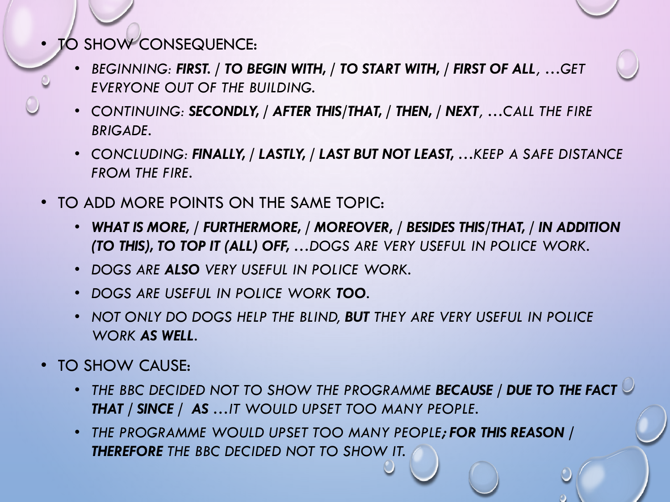- TO SHOW CONSEQUENCE:
	- *BEGINNING: FIRST. / TO BEGIN WITH, / TO START WITH, / FIRST OF ALL, …GET EVERYONE OUT OF THE BUILDING.*
	- *CONTINUING: SECONDLY, / AFTER THIS/THAT, / THEN, / NEXT, …CALL THE FIRE BRIGADE.*
	- *CONCLUDING: FINALLY, / LASTLY, / LAST BUT NOT LEAST, …KEEP A SAFE DISTANCE FROM THE FIRE.*
- TO ADD MORE POINTS ON THE SAME TOPIC:
	- *WHAT IS MORE, / FURTHERMORE, / MOREOVER, / BESIDES THIS/THAT, / IN ADDITION (TO THIS), TO TOP IT (ALL) OFF, …DOGS ARE VERY USEFUL IN POLICE WORK.*
	- *DOGS ARE ALSO VERY USEFUL IN POLICE WORK.*
	- *DOGS ARE USEFUL IN POLICE WORK TOO.*
	- *NOT ONLY DO DOGS HELP THE BLIND, BUT THEY ARE VERY USEFUL IN POLICE WORK AS WELL.*
- TO SHOW CAUSE:
	- *THE BBC DECIDED NOT TO SHOW THE PROGRAMME BECAUSE / DUE TO THE FACT THAT / SINCE / AS …IT WOULD UPSET TOO MANY PEOPLE.*
	- *THE PROGRAMME WOULD UPSET TOO MANY PEOPLE; FOR THIS REASON / THEREFORE THE BBC DECIDED NOT TO SHOW IT.*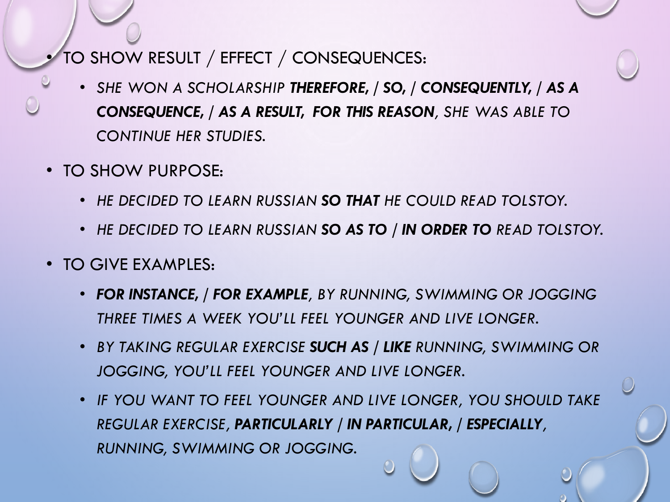## • TO SHOW RESULT / EFFECT / CONSEQUENCES:

- *SHE WON A SCHOLARSHIP THEREFORE, / SO, / CONSEQUENTLY, / AS A CONSEQUENCE, / AS A RESULT, FOR THIS REASON, SHE WAS ABLE TO CONTINUE HER STUDIES.*
- TO SHOW PURPOSE:
	- *HE DECIDED TO LEARN RUSSIAN SO THAT HE COULD READ TOLSTOY.*
	- *HE DECIDED TO LEARN RUSSIAN SO AS TO / IN ORDER TO READ TOLSTOY.*
- TO GIVE EXAMPLES:
	- *FOR INSTANCE, / FOR EXAMPLE, BY RUNNING, SWIMMING OR JOGGING THREE TIMES A WEEK YOU'LL FEEL YOUNGER AND LIVE LONGER.*
	- *BY TAKING REGULAR EXERCISE SUCH AS / LIKE RUNNING, SWIMMING OR JOGGING, YOU'LL FEEL YOUNGER AND LIVE LONGER.*
	- *IF YOU WANT TO FEEL YOUNGER AND LIVE LONGER, YOU SHOULD TAKE REGULAR EXERCISE, PARTICULARLY / IN PARTICULAR, / ESPECIALLY, RUNNING, SWIMMING OR JOGGING.*